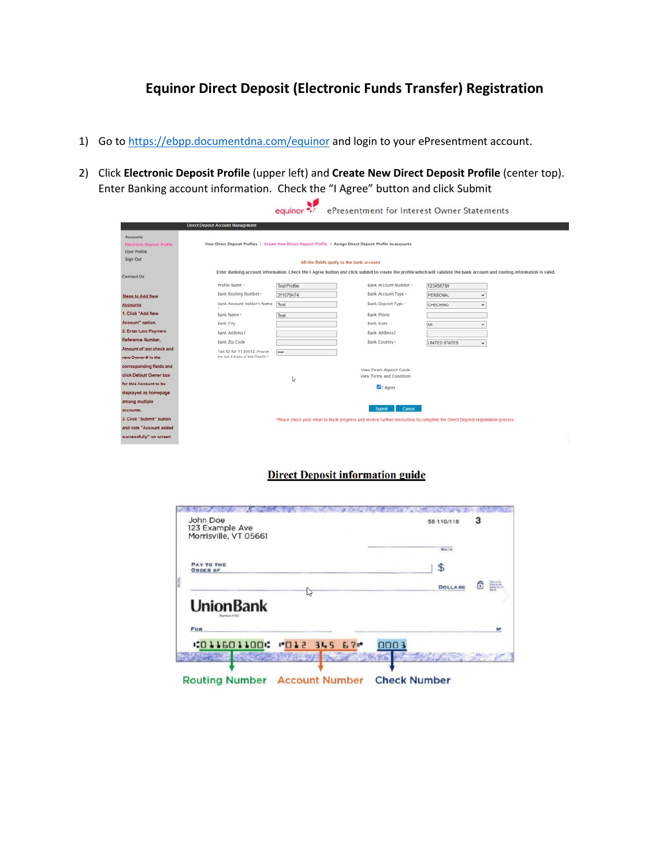## **Equinor Direct Deposit (Electronic Funds Transfer) Registration**

- 1) Go to<https://ebpp.documentdna.com/equinor> and login to your ePresentment account.
- 2) Click **Electronic Deposit Profile** (upper left) and **Create New Direct Deposit Profile** (center top). Enter Banking account information. Check the "I Agree" button and click Submit

|                                                                                         |                                          | equinor ***         | ePresentment for Interest Owner Statements                                                                                                                                |                      |              |  |
|-----------------------------------------------------------------------------------------|------------------------------------------|---------------------|---------------------------------------------------------------------------------------------------------------------------------------------------------------------------|----------------------|--------------|--|
|                                                                                         | <b>Direct Deposit Account Management</b> |                     |                                                                                                                                                                           |                      |              |  |
| <b>Accounts</b><br><b>Electronic Deposit Profile</b><br><b>User Profile</b><br>Sign Out |                                          |                     | View Direct Deposit Profiles   Create New Direct Deposit Profile   Assign Direct Deposit Profile to accounts<br>All the fields apply to the bank account                  |                      |              |  |
| <b>Contact Us</b>                                                                       |                                          |                     | Enter Banking account information. Check the I Agree button and click submit to create the profile which will validate the bank account and routing information is valid. |                      |              |  |
|                                                                                         | Profile Name +                           | <b>Test Profile</b> | Bank Account Number -                                                                                                                                                     | 123456789            |              |  |
| <b>Steps to Add New</b>                                                                 | Bank Routing Number -                    | 311079474           | Bank Account Type +                                                                                                                                                       | PERSONAL             | $\checkmark$ |  |
| Accounts                                                                                | Bank Account Holder's Name               | Test                | Bank Deposit Type +                                                                                                                                                       | CHECKING             | v            |  |
| 1. Click "Add New                                                                       | Bank Name -                              | Test                | Bank Phone                                                                                                                                                                |                      |              |  |
| Account" option.                                                                        | Bank City                                |                     | <b>Bank State</b>                                                                                                                                                         | M                    | v            |  |
| 2. Enter Last Payment                                                                   | Bank Address1                            |                     | Bank Address2                                                                                                                                                             |                      |              |  |
| Reference Number,                                                                       | Bank Zip Code                            |                     | Bank Country ·                                                                                                                                                            | <b>UNITED STATES</b> | $\checkmark$ |  |
| Amount of last check and                                                                | Tax ID for 9130012 (Provide)             |                     |                                                                                                                                                                           |                      |              |  |
| new Owner # in the                                                                      | the last 4 digits of SSN/TAXID) +        |                     |                                                                                                                                                                           |                      |              |  |
| corresponding fields and                                                                |                                          |                     | View Direct deposit Guide                                                                                                                                                 |                      |              |  |
| click Default Owner box                                                                 |                                          | ₫                   | View Terms and Condition                                                                                                                                                  |                      |              |  |
| for this Account to be                                                                  |                                          |                     | 1 Agree                                                                                                                                                                   |                      |              |  |
| displayed as homepage                                                                   |                                          |                     |                                                                                                                                                                           |                      |              |  |
| among multiple                                                                          |                                          |                     |                                                                                                                                                                           |                      |              |  |
| accounts.                                                                               |                                          |                     | Submit<br>Cancel                                                                                                                                                          |                      |              |  |
| 3. Click "Submit" button                                                                |                                          |                     | *Please check your email to track progress and receive further instruction to complete the Direct Deposit registration process.                                           |                      |              |  |
| and note "Account added                                                                 |                                          |                     |                                                                                                                                                                           |                      |              |  |
| successfully" on screen                                                                 |                                          |                     |                                                                                                                                                                           |                      |              |  |

## **Direct Deposit information guide**

| 58-110/116     |      |                                          |
|----------------|------|------------------------------------------|
| <b>DATE</b>    |      |                                          |
| \$             |      |                                          |
| <b>DOLLARS</b> | 尙    | Sesum<br>Features<br>Defails (1)<br>Bars |
|                |      |                                          |
|                |      |                                          |
|                |      |                                          |
|                | 0003 | з                                        |

Routing Number Account Number Check Number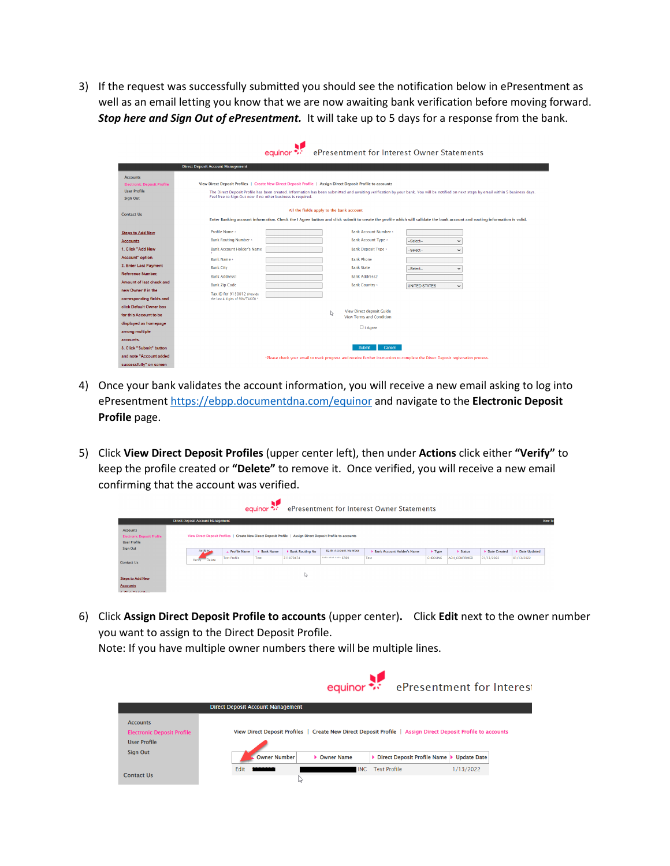3) If the request was successfully submitted you should see the notification below in ePresentment as well as an email letting you know that we are now awaiting bank verification before moving forward. *Stop here and Sign Out of ePresentment.* It will take up to 5 days for a response from the bank.

|                                                                                                |                                                                                                                                                                             | equinor                                  |   | ePresentment for Interest Owner Statements                                                                                                                                |                      |                      |                                                                                                                                                                                         |
|------------------------------------------------------------------------------------------------|-----------------------------------------------------------------------------------------------------------------------------------------------------------------------------|------------------------------------------|---|---------------------------------------------------------------------------------------------------------------------------------------------------------------------------|----------------------|----------------------|-----------------------------------------------------------------------------------------------------------------------------------------------------------------------------------------|
|                                                                                                | <b>Direct Deposit Account Management</b>                                                                                                                                    |                                          |   |                                                                                                                                                                           |                      |                      |                                                                                                                                                                                         |
| <b>Accounts</b><br><b>Electronic Deposit Profile</b><br><b>User Profile</b><br><b>Sign Out</b> | View Direct Deposit Profiles   Create New Direct Deposit Profile   Assign Direct Deposit Profile to accounts<br>Feel free to Sign Out now if no other business is required. |                                          |   |                                                                                                                                                                           |                      |                      | The Direct Deposit Profile has been created, Information has been submitted and awaiting verification by your bank. You will be notified on next steps by email within 5 business days. |
| <b>Contact Us</b>                                                                              |                                                                                                                                                                             | All the fields apply to the bank account |   | Enter Banking account information. Check the I Agree button and click submit to create the profile which will validate the bank account and routing information is valid. |                      |                      |                                                                                                                                                                                         |
| <b>Steps to Add New</b>                                                                        | Profile Name +                                                                                                                                                              |                                          |   | <b>Bank Account Number +</b>                                                                                                                                              |                      |                      |                                                                                                                                                                                         |
| <b>Accounts</b>                                                                                | <b>Bank Routing Number *</b>                                                                                                                                                |                                          |   | Bank Account Type +                                                                                                                                                       | -Select-             | $\ddot{\phantom{0}}$ |                                                                                                                                                                                         |
| 1. Click "Add New                                                                              | <b>Bank Account Holder's Name</b>                                                                                                                                           |                                          |   | Bank Deposit Type +                                                                                                                                                       | -Select-             | $\checkmark$         |                                                                                                                                                                                         |
| Account" option.                                                                               | Bank Name +                                                                                                                                                                 |                                          |   | <b>Bank Phone</b>                                                                                                                                                         |                      |                      |                                                                                                                                                                                         |
| 2. Enter Last Payment                                                                          | <b>Bank City</b>                                                                                                                                                            |                                          |   | <b>Bank State</b>                                                                                                                                                         | -Select--            | $\checkmark$         |                                                                                                                                                                                         |
| Reference Number.                                                                              | <b>Bank Address1</b>                                                                                                                                                        |                                          |   | <b>Bank Address2</b>                                                                                                                                                      |                      |                      |                                                                                                                                                                                         |
| Amount of last check and                                                                       | <b>Bank Zip Code</b>                                                                                                                                                        |                                          |   | <b>Bank Country</b> *                                                                                                                                                     | <b>UNITED STATES</b> | $\checkmark$         |                                                                                                                                                                                         |
| new Owner # in the<br>corresponding fields and                                                 | Tax ID for 9130012 (Provide<br>the last 4 digits of SSN/TAXID) *                                                                                                            |                                          |   |                                                                                                                                                                           |                      |                      |                                                                                                                                                                                         |
| click Default Owner box                                                                        |                                                                                                                                                                             |                                          |   |                                                                                                                                                                           |                      |                      |                                                                                                                                                                                         |
| for this Account to be                                                                         |                                                                                                                                                                             |                                          | ₽ | <b>View Direct deposit Guide</b><br><b>View Terms and Condition</b>                                                                                                       |                      |                      |                                                                                                                                                                                         |
| displayed as homepage                                                                          |                                                                                                                                                                             |                                          |   |                                                                                                                                                                           |                      |                      |                                                                                                                                                                                         |
| among multiple                                                                                 |                                                                                                                                                                             |                                          |   | $\Box$ I Agree                                                                                                                                                            |                      |                      |                                                                                                                                                                                         |
| accounts.                                                                                      |                                                                                                                                                                             |                                          |   |                                                                                                                                                                           |                      |                      |                                                                                                                                                                                         |
| 3. Click "Submit" button                                                                       |                                                                                                                                                                             |                                          |   | Cancel<br>Submit                                                                                                                                                          |                      |                      |                                                                                                                                                                                         |
| and note "Account added                                                                        |                                                                                                                                                                             |                                          |   | *Please check your email to track progress and receive further instruction to complete the Direct Deposit registration process.                                           |                      |                      |                                                                                                                                                                                         |
| successfully" on screen                                                                        |                                                                                                                                                                             |                                          |   |                                                                                                                                                                           |                      |                      |                                                                                                                                                                                         |

- 4) Once your bank validates the account information, you will receive a new email asking to log into ePresentment<https://ebpp.documentdna.com/equinor> and navigate to the **Electronic Deposit Profile** page.
- 5) Click **View Direct Deposit Profiles** (upper center left), then under **Actions** click either **"Verify"** to keep the profile created or **"Delete"** to remove it. Once verified, you will receive a new email confirming that the account was verified.

|                                                                                  |                                                                                                              |                     | equinor $\ddot{\cdot}$ . |                        |                            | ePresentment for Interest Owner Statements |                            |                         |              |              |
|----------------------------------------------------------------------------------|--------------------------------------------------------------------------------------------------------------|---------------------|--------------------------|------------------------|----------------------------|--------------------------------------------|----------------------------|-------------------------|--------------|--------------|
|                                                                                  | <b>Direct Deposit Account Management</b>                                                                     |                     |                          |                        |                            |                                            |                            |                         |              | New Tes      |
| <b>Accounts</b><br><b>Electronic Deposit Profile</b><br><b>User Profile</b>      | View Direct Deposit Profiles   Create New Direct Deposit Profile   Assign Direct Deposit Profile to accounts |                     |                          |                        |                            |                                            |                            |                         |              |              |
| Sign Out                                                                         | Actions                                                                                                      | Frofile Name        | <b>Bank Name</b>         | <b>Bank Routing No</b> | <b>Bank Account Number</b> | Bank Account Holder's Name                 | $\blacktriangleright$ Type | $\triangleright$ Status | Date Created | Date Updated |
| <b>Contact Us</b>                                                                | Delete<br>Verify                                                                                             | <b>Test Profile</b> | Test                     | 311079474              | <b>ANAL ANAL ANAL 6780</b> | Test                                       | <b>CHECKING</b>            | <b>ACH CONFIRMED</b>    | 01/13/2022   | 01/13/2022   |
| <b>Steps to Add New</b><br><b>Accounts</b><br><b>A COUNTAINS AND ALL COMPANY</b> |                                                                                                              |                     |                          | ↳                      |                            |                                            |                            |                         |              |              |

6) Click **Assign Direct Deposit Profile to accounts** (upper center)**.** Click **Edit** next to the owner number you want to assign to the Direct Deposit Profile.

Note: If you have multiple owner numbers there will be multiple lines.

|                                                                             |                                          | equinor ***  |                                                                                                              | ePresentment for Interest |  |
|-----------------------------------------------------------------------------|------------------------------------------|--------------|--------------------------------------------------------------------------------------------------------------|---------------------------|--|
|                                                                             | <b>Direct Deposit Account Management</b> |              |                                                                                                              |                           |  |
| <b>Accounts</b><br><b>Electronic Deposit Profile</b><br><b>User Profile</b> |                                          |              | View Direct Deposit Profiles   Create New Direct Deposit Profile   Assign Direct Deposit Profile to accounts |                           |  |
| <b>Sign Out</b>                                                             | <b>Owner Number</b>                      | ▶ Owner Name | Direct Deposit Profile Name                                                                                  | <b>Update Date</b>        |  |
| <b>Contact Us</b>                                                           | Edit<br>B                                | <b>INC</b>   | <b>Test Profile</b>                                                                                          | 1/13/2022                 |  |